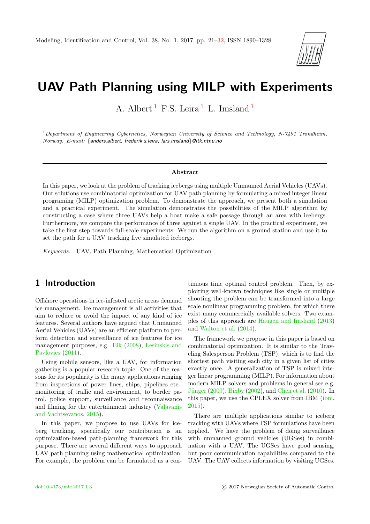

# UAV Path Planning using MILP with Experiments

A. Albert<sup>[1](#page-0-0)</sup> F.S. Leira<sup>1</sup> L. Imsland<sup>1</sup>

 $1$ Department of Engineering Cybernetics, Norwegian University of Science and Technology, N-7491 Trondheim, Norway. E-mail: {anders.albert, frederik.s.leira, lars.imsland}@itk.ntnu.no

#### Abstract

In this paper, we look at the problem of tracking icebergs using multiple Unmanned Aerial Vehicles (UAVs). Our solutions use combinatorial optimization for UAV path planning by formulating a mixed integer linear programing (MILP) optimization problem. To demonstrate the approach, we present both a simulation and a practical experiment. The simulation demonstrates the possibilities of the MILP algorithm by constructing a case where three UAVs help a boat make a safe passage through an area with icebergs. Furthermore, we compare the performance of three against a single UAV. In the practical experiment, we take the first step towards full-scale experiments. We run the algorithm on a ground station and use it to set the path for a UAV tracking five simulated icebergs.

Keywords: UAV, Path Planning, Mathematical Optimization

### <span id="page-0-0"></span>1 Introduction

Offshore operations in ice-infested arctic areas demand ice management. Ice management is all activities that aim to reduce or avoid the impact of any kind of ice features. Several authors have argued that Unmanned Aerial Vehicles (UAVs) are an efficient platform to perform detection and surveillance of ice features for ice management purposes, e.g. [Eik](#page-10-0) [\(2008\)](#page-10-0), [Lesinskis and](#page-11-1) [Pavlovics](#page-11-1)  $(2011)$ .

Using mobile sensors, like a UAV, for information gathering is a popular research topic. One of the reasons for its popularity is the many applications ranging from inspections of power lines, ships, pipelines etc., monitoring of traffic and environment, to border patrol, police support, surveillance and reconnaissance and filming for the entertainment industry [\(Valavanis](#page-11-2) [and Vachtsevanos,](#page-11-2) [2015\)](#page-11-2).

In this paper, we propose to use UAVs for iceberg tracking, specifically our contribution is an optimization-based path-planning framework for this purpose. There are several different ways to approach UAV path planning using mathematical optimization. For example, the problem can be formulated as a continuous time optimal control problem. Then, by exploiting well-known techniques like single or multiple shooting the problem can be transformed into a large scale nonlinear programming problem, for which there exist many commercially available solvers. Two examples of this approach are [Haugen and Imsland](#page-11-3) [\(2013\)](#page-11-3) and [Walton et al.](#page-11-4) [\(2014\)](#page-11-4).

The framework we propose in this paper is based on combinatorial optimization. It is similar to the Traveling Salesperson Problem (TSP), which is to find the shortest path visiting each city in a given list of cities exactly once. A generalization of TSP is mixed integer linear programming (MILP). For information about modern MILP solvers and problems in general see e.g. Jünger [\(2009\)](#page-11-5), [Bixby](#page-10-1) [\(2002\)](#page-10-1), and [Chen et al.](#page-10-2) [\(2010\)](#page-10-2). In this paper, we use the CPLEX solver from IBM [\(ibm,](#page-10-3) [2015\)](#page-10-3).

There are multiple applications similar to iceberg tracking with UAVs where TSP formulations have been applied. We have the problem of doing surveillance with unmanned ground vehicles (UGSes) in combination with a UAV. The UGSes have good sensing, but poor communication capabilities compared to the UAV. The UAV collects information by visiting UGSes.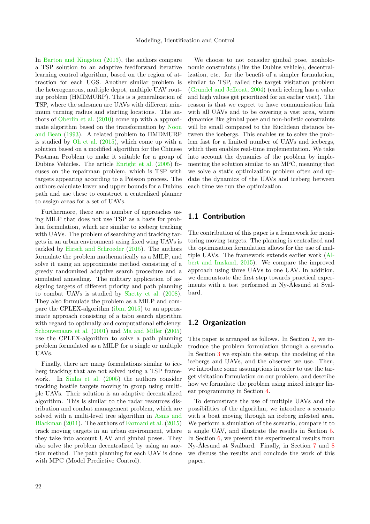In [Barton and Kingston](#page-10-4) [\(2013\)](#page-10-4), the authors compare a TSP solution to an adaptive feedforward iterative learning control algorithm, based on the region of attraction for each UGS. Another similar problem is the heterogeneous, multiple depot, multiple UAV routing problem (HMDMURP). This is a generalization of TSP, where the salesmen are UAVs with different minimum turning radius and starting locations. The authors of [Oberlin et al.](#page-11-6) [\(2010\)](#page-11-6) come up with a approximate algorithm based on the transformation by [Noon](#page-11-7) [and Bean](#page-11-7) [\(1993\)](#page-11-7). A related problem to HMDMURP is studied by [Oh et al.](#page-11-8) [\(2015\)](#page-11-8), which come up with a solution based on a modified algorithm for the Chinese Postman Problem to make it suitable for a group of Dubins Vehicles. The article [Enright et al.](#page-10-5) [\(2005\)](#page-10-5) focuses on the repairman problem, which is TSP with targets appearing according to a Poisson process. The authors calculate lower and upper bounds for a Dubins path and use these to construct a centralized planner to assign areas for a set of UAVs.

Furthermore, there are a number of approaches using MILP that does not use TSP as a basis for problem formulation, which are similar to iceberg tracking with UAVs. The problem of searching and tracking targets in an urban environment using fixed wing UAVs is tackled by [Hirsch and Schroeder](#page-11-9) [\(2015\)](#page-11-9). The authors formulate the problem mathematically as a MILP, and solve it using an approximate method consisting of a greedy randomized adaptive search procedure and a simulated annealing. The military application of assigning targets of different priority and path planning to combat UAVs is studied by [Shetty et al.](#page-11-10) [\(2008\)](#page-11-10). They also formulate the problem as a MILP and compare the CPLEX-algorithm [\(ibm,](#page-10-3) [2015\)](#page-10-3) to an approximate approach consisting of a tabu search algorithm with regard to optimally and computational efficiency. [Schouwenaars et al.](#page-11-11) [\(2001\)](#page-11-11) and [Ma and Miller](#page-11-12) [\(2005\)](#page-11-12) use the CPLEX-algorithm to solve a path planning problem formulated as a MILP for a single or multiple UAVs.

Finally, there are many formulations similar to iceberg tracking that are not solved using a TSP framework. In [Sinha et al.](#page-11-13) [\(2005\)](#page-11-13) the authors consider tracking hostile targets moving in group using multiple UAVs. Their solution is an adaptive decentralized algorithm. This is similar to the radar resources distribution and combat management problem, which are solved with a multi-level tree algorithm in [Asnis and](#page-10-6) [Blackman](#page-10-6) [\(2011\)](#page-10-6). The authors of [Farmani et al.](#page-11-14) [\(2015\)](#page-11-14) track moving targets in an urban environment, where they take into account UAV and gimbal poses. They also solve the problem decentralized by using an auction method. The path planning for each UAV is done with MPC (Model Predictive Control).

We choose to not consider gimbal pose, nonholonomic constraints (like the Dubins vehicle), decentralization, etc. for the benefit of a simpler formulation, similar to TSP, called the target visitation problem [\(Grundel and Jeffcoat,](#page-11-15) [2004\)](#page-11-15) (each iceberg has a value and high values get prioritized for an earlier visit). The reason is that we expect to have communication link with all UAVs and to be covering a vast area, where dynamics like gimbal pose and non-holistic constraints will be small compared to the Euclidean distance between the icebergs. This enables us to solve the problem fast for a limited number of UAVs and icebergs, which then enables real-time implementation. We take into account the dynamics of the problem by implementing the solution similar to an MPC, meaning that we solve a static optimization problem often and update the dynamics of the UAVs and iceberg between each time we run the optimization.

#### 1.1 Contribution

The contribution of this paper is a framework for monitoring moving targets. The planning is centralized and the optimization formulation allows for the use of multiple UAVs. The framework extends earlier work [\(Al](#page-10-7)[bert and Imsland,](#page-10-7) [2015\)](#page-10-7). We compare the improved approach using three UAVs to one UAV. In addition, we demonstrate the first step towards practical experiments with a test performed in Ny-Ålesund at Svalbard.

#### 1.2 Organization

This paper is arranged as follows. In Section [2,](#page-2-0) we introduce the problem formulation through a scenario. In Section [3](#page-2-1) we explain the setup, the modeling of the icebergs and UAVs, and the observer we use. Then, we introduce some assumptions in order to use the target visitation formulation on our problem, and describe how we formulate the problem using mixed integer linear programming in Section [4.](#page-3-0)

To demonstrate the use of multiple UAVs and the possibilities of the algorithm, we introduce a scenario with a boat moving through an iceberg infested area. We perform a simulation of the scenario, compare it to a single UAV, and illustrate the results in Section [5.](#page-5-0) In Section [6,](#page-6-0) we present the experimental results from Ny-Ålesund at Svalbard. Finally, in Section [7](#page-9-0) and [8](#page-10-8) we discuss the results and conclude the work of this paper.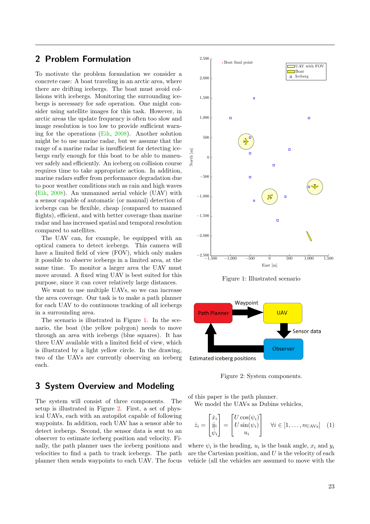# <span id="page-2-0"></span>2 Problem Formulation

To motivate the problem formulation we consider a concrete case: A boat traveling in an arctic area, where there are drifting icebergs. The boat must avoid collisions with icebergs. Monitoring the surrounding icebergs is necessary for safe operation. One might consider using satellite images for this task. However, in arctic areas the update frequency is often too slow and image resolution is too low to provide sufficient warning for the operations [\(Eik,](#page-10-0) [2008\)](#page-10-0). Another solution might be to use marine radar, but we assume that the range of a marine radar is insufficient for detecting icebergs early enough for this boat to be able to maneuver safely and efficiently. An iceberg on collision course requires time to take appropriate action. In addition, marine radars suffer from performance degradation due to poor weather conditions such as rain and high waves [\(Eik,](#page-10-0) [2008\)](#page-10-0). An unmanned aerial vehicle (UAV) with a sensor capable of automatic (or manual) detection of icebergs can be flexible, cheap (compared to manned flights), efficient, and with better coverage than marine radar and has increased spatial and temporal resolution compared to satellites.

The UAV can, for example, be equipped with an optical camera to detect icebergs. This camera will have a limited field of view (FOV), which only makes it possible to observe icebergs in a limited area, at the same time. To monitor a larger area the UAV must move around. A fixed wing UAV is best suited for this purpose, since it can cover relatively large distances.

We want to use multiple UAVs, so we can increase the area coverage. Our task is to make a path planner for each UAV to do continuous tracking of all icebergs in a surrounding area.

The scenario is illustrated in Figure [1.](#page-2-2) In the scenario, the boat (the yellow polygon) needs to move through an area with icebergs (blue squares). It has three UAV available with a limited field of view, which is illustrated by a light yellow circle. In the drawing, two of the UAVs are currently observing an iceberg each.

# <span id="page-2-1"></span>3 System Overview and Modeling

The system will consist of three components. The setup is illustrated in Figure [2.](#page-2-3) First, a set of physical UAVs, each with an autopilot capable of following waypoints. In addition, each UAV has a sensor able to detect icebergs. Second, the sensor data is sent to an observer to estimate iceberg position and velocity. Finally, the path planner uses the iceberg positions and velocities to find a path to track icebergs. The path planner then sends waypoints to each UAV. The focus

<span id="page-2-2"></span>

Figure 1: Illustrated scenario

<span id="page-2-3"></span>

<span id="page-2-4"></span>Figure 2: System components.

of this paper is the path planner.

We model the UAVs as Dubins vehicles,

$$
\dot{z}_i = \begin{bmatrix} \dot{x}_i \\ \dot{y}_i \\ \dot{\psi}_i \end{bmatrix} = \begin{bmatrix} U\cos(\psi_i) \\ U\sin(\psi_i) \\ u_i \end{bmatrix} \quad \forall i \in [1, \dots, n_{\text{UAVs}}] \quad (1)
$$

where  $\psi_i$  is the heading,  $u_i$  is the bank angle,  $x_i$  and  $y_i$ are the Cartesian position, and  $U$  is the velocity of each vehicle (all the vehicles are assumed to move with the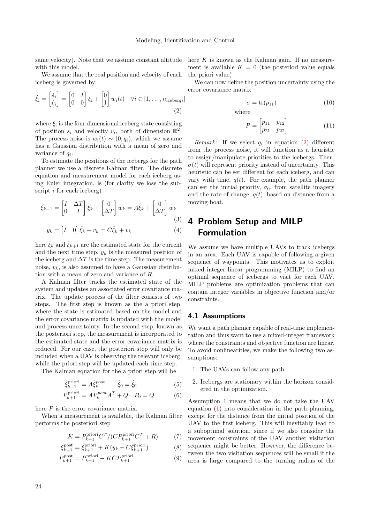same velocity). Note that we assume constant altitude with this model.

We assume that the real position and velocity of each iceberg is governed by:

$$
\dot{\xi}_i = \begin{bmatrix} \dot{s}_i \\ \dot{v}_i \end{bmatrix} = \begin{bmatrix} 0 & I \\ 0 & 0 \end{bmatrix} \xi_i + \begin{bmatrix} 0 \\ 1 \end{bmatrix} w_i(t) \quad \forall i \in [1, \dots, n_{\text{icebergs}}]
$$
\n(2)

where  $\xi_i$  is the four dimensional iceberg state consisting of position  $s_i$  and velocity  $v_i$ , both of dimension  $\mathbb{R}^2$ . The process noise is  $w_i(t) \sim (0, q_i)$ , which we assume has a Gaussian distribution with a mean of zero and variance of  $q_i$ .

To estimate the positions of the icebergs for the path planner we use a discrete Kalman filter. The discrete equation and measurement model for each iceberg using Euler integration, is (for clarity we lose the subscript i for each iceberg)

$$
\hat{\xi}_{k+1} = \begin{bmatrix} I & \Delta T \\ 0 & I \end{bmatrix} \hat{\xi}_k + \begin{bmatrix} 0 \\ \Delta T \end{bmatrix} w_k = A \hat{\xi}_k + \begin{bmatrix} 0 \\ \Delta T \end{bmatrix} w_k
$$
\n(3)

$$
y_k = \begin{bmatrix} I & 0 \end{bmatrix} \hat{\xi}_k + v_k = C \hat{\xi}_k + v_k \tag{4}
$$

here  $\xi_k$  and  $\xi_{k+1}$  are the estimated state for the current and the next time step,  $y_k$  is the measured position of the iceberg and  $\Delta T$  is the time step. The measurement noise,  $v_k$ , is also assumed to have a Gaussian distribution with a mean of zero and variance of R.

A Kalman filter tracks the estimated state of the system and updates an associated error covariance matrix. The update process of the filter consists of two steps. The first step is known as the a priori step, where the state is estimated based on the model and the error covariance matrix is updated with the model and process uncertainty. In the second step, known as the posteriori step, the measurement is incorporated to the estimated state and the error covariance matrix is reduced. For our case, the posteriori step will only be included when a UAV is observing the relevant iceberg, while the priori step will be updated each time step.

The Kalman equation for the a priori step will be

$$
\hat{\xi}_{k+1}^{\text{priori}} = A \hat{\xi}_k^{\text{post}} \qquad \hat{\xi}_0 = \hat{\xi}_0 \tag{5}
$$

$$
P_{k+1}^{\text{priori}} = AP_k^{post} A^T + Q \quad P_0 = Q \tag{6}
$$

here  $P$  is the error covariance matrix.

When a measurement is available, the Kalman filter performs the posteriori step

$$
K = P_{k+1}^{\text{priori}} C^T / (C P_{k+1}^{\text{priori}} C^T + R) \tag{7}
$$

$$
\xi_{k+1}^{\text{post}} = \hat{\xi}_{k+1}^{\text{priori}} + K(y_k - C\hat{\xi}_{k+1}^{\text{priori}})
$$
(8)

$$
P_{k+1}^{\text{post}} = P_{k+1}^{\text{priori}} - KCP_{k+1}^{\text{priori}} \tag{9}
$$

here  $K$  is known as the Kalman gain. If no measurement is available  $K = 0$  (the posteriori value equals the priori value)

<span id="page-3-1"></span>We can now define the position uncertainty using the error covariance matrix

<span id="page-3-4"></span>
$$
\sigma = \text{tr}(p_{11}) \tag{10}
$$

where

$$
P = \begin{bmatrix} p_{11} & p_{12} \\ p_{21} & p_{22} \end{bmatrix}
$$
 (11)

*Remark:* If we select  $q_i$  in equation [\(2\)](#page-3-1) different from the process noise, it will function as a heuristic to assign/manipulate priorities to the icebergs. Then,  $\sigma(t)$  will represent priority instead of uncertainty. This heuristic can be set different for each iceberg, and can vary with time,  $q(t)$ . For example, the path planner can set the initial priority,  $\sigma_0$ , from satellite imagery and the rate of change,  $q(t)$ , based on distance from a moving boat.

# <span id="page-3-0"></span>4 Problem Setup and MILP Formulation

We assume we have multiple UAVs to track icebergs in an area. Each UAV is capable of following a given sequence of waypoints. This motivates us to exploit mixed integer linear programming (MILP) to find an optimal sequence of icebergs to visit for each UAV. MILP problems are optimization problems that can contain integer variables in objective function and/or constraints.

#### <span id="page-3-5"></span>4.1 Assumptions

We want a path planner capable of real-time implementation and thus want to use a mixed-integer framework where the constraints and objective function are linear. To avoid nonlinearities, we make the following two assumptions:

- <span id="page-3-2"></span>1. The UAVs can follow any path.
- <span id="page-3-3"></span>2. Icebergs are stationary within the horizon considered in the optimization.

Assumption [1](#page-3-2) means that we do not take the UAV equation [\(1\)](#page-2-4) into consideration in the path planning, except for the distance from the initial position of the UAV to the first iceberg. This will inevitably lead to a suboptimal solution, since if we also consider the movement constraints of the UAV another visitation sequence might be better. However, the difference between the two visitation sequences will be small if the area is large compared to the turning radius of the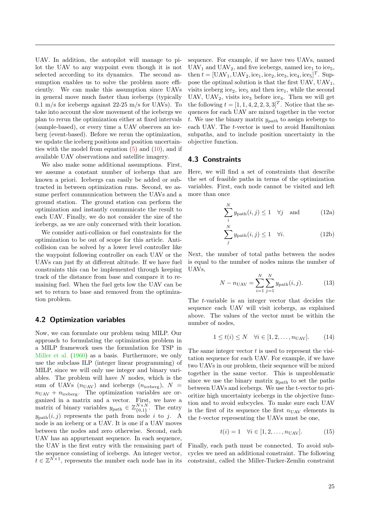UAV. In addition, the autopilot will manage to pilot the UAV to any waypoint even though it is not selected according to its dynamics. The second assumption enables us to solve the problem more efficiently. We can make this assumption since UAVs in general move much faster than icebergs (typically 0.1 m/s for icebergs against 22-25 m/s for UAVs). To take into account the slow movement of the icebergs we plan to rerun the optimization either at fixed intervals (sample-based), or every time a UAV observes an iceberg (event-based). Before we rerun the optimization, we update the iceberg positions and position uncertainties with the model from equation  $(5)$  and  $(10)$ , and if available UAV observations and satellite imagery.

We also make some additional assumptions. First, we assume a constant number of icebergs that are known a priori. Icebergs can easily be added or subtracted in between optimization runs. Second, we assume perfect communication between the UAVs and a ground station. The ground station can perform the optimization and instantly communicate the result to each UAV. Finally, we do not consider the size of the icebergs, as we are only concerned with their location.

We consider anti-collision or fuel constraints for the optimization to be out of scope for this article. Anticollision can be solved by a lower level controller like the waypoint following controller on each UAV or the UAVs can just fly at different altitude. If we have fuel constraints this can be implemented through keeping track of the distance from base and compare it to remaining fuel. When the fuel gets low the UAV can be set to return to base and removed from the optimization problem.

#### 4.2 Optimization variables

Now, we can formulate our problem using MILP. Our approach to formulating the optimization problem in a MILP framework uses the formulation for TSP in [Miller et al.](#page-11-16) [\(1960\)](#page-11-16) as a basis. Furthermore, we only use the subclass ILP (integer linear programming) of MILP, since we will only use integer and binary variables. The problem will have  $N$  nodes, which is the sum of UAVs  $(n_{\text{UAV}})$  and icebergs  $(n_{\text{iceberg}})$ ,  $N =$  $n_{\text{UAV}} + n_{\text{iceberg}}$ . The optimization variables are organized in a matrix and a vector. First, we have a matrix of binary variables  $y_{\text{path}} \in \mathbb{Z}_{\{0,1\}}^{N \times N}$ . The entry  $y_{\text{path}}(i, j)$  represents the path from node i to j. A node is an iceberg or a UAV. It is one if a UAV moves between the nodes and zero otherwise. Second, each UAV has an appurtenant sequence. In each sequence, the UAV is the first entry with the remaining part of the sequence consisting of icebergs. An integer vector,  $t \in \mathbb{Z}^{N \times 1}$ , represents the number each node has in its

sequence. For example, if we have two UAVs, named  $UAV_1$  and  $UAV_2$ , and five icebergs, named ice<sub>1</sub> to ice<sub>5</sub>, then  $t = [\text{UAV}_1, \text{UAV}_2, \text{ice}_1, \text{ice}_2, \text{ice}_3, \text{ice}_4, \text{ice}_5]^T$ . Suppose the optimal solution is that the first UAV,  $UAV<sub>1</sub>$ , visits iceberg ice<sub>2</sub>, ice<sub>5</sub> and then ice<sub>1</sub>, while the second UAV, UAV<sub>2</sub>, visits ice<sub>3</sub> before ice<sub>4</sub>. Then we will get the following  $t = [1, 1, 4, 2, 2, 3, 3]^T$ . Notice that the sequences for each UAV are mixed together in the vector t. We use the binary matrix  $y_{path}$  to assign icebergs to each UAV. The t-vector is used to avoid Hamiltonian subpaths, and to include position uncertainty in the objective function.

#### 4.3 Constraints

Here, we will find a set of constraints that describe the set of feasible paths in terms of the optimization variables. First, each node cannot be visited and left more than once

<span id="page-4-0"></span>
$$
\sum_{i}^{N} y_{\text{path}}(i,j) \le 1 \quad \forall j \quad \text{and} \tag{12a}
$$

$$
\sum_{j}^{N} y_{\text{path}}(i,j) \le 1 \quad \forall i. \tag{12b}
$$

Next, the number of total paths between the nodes is equal to the number of nodes minus the number of UAVs,

<span id="page-4-1"></span>
$$
N - n_{\text{UAV}} = \sum_{i=1}^{N} \sum_{j=1}^{N} y_{\text{path}}(i, j). \tag{13}
$$

The t-variable is an integer vector that decides the sequence each UAV will visit icebergs, as explained above. The values of the vector must be within the number of nodes,

<span id="page-4-2"></span>
$$
1 \le t(i) \le N \quad \forall i \in [1, 2, \dots, n_{\text{UAV}}]. \tag{14}
$$

The same integer vector  $t$  is used to represent the visitation sequence for each UAV. For example, if we have two UAVs in our problem, their sequence will be mixed together in the same vector. This is unproblematic since we use the binary matrix  $y_{\text{path}}$  to set the paths between UAVs and icebergs. We use the t-vector to prioritize high uncertainty icebergs in the objective function and to avoid subcycles. To make sure each UAV is the first of its sequence the first  $n_{\text{UAV}}$  elements in the t-vector representing the UAVs must be one,

<span id="page-4-3"></span>
$$
t(i) = 1 \quad \forall i \in [1, 2, \dots, n_{\text{UAV}}]. \tag{15}
$$

Finally, each path must be connected. To avoid subcycles we need an additional constraint. The following constraint, called the Miller-Tucker-Zemlin constraint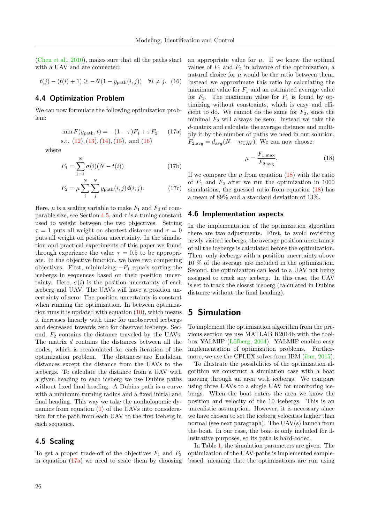[\(Chen et al.,](#page-10-2) [2010\)](#page-10-2), makes sure that all the paths start with a UAV and are connected:

$$
t(j) - (t(i) + 1) \ge -N(1 - y_{\text{path}}(i, j)) \quad \forall i \neq j. \tag{16}
$$

### 4.4 Optimization Problem

We can now formulate the following optimization problem:

$$
\min F(y_{\text{path}}, t) = -(1 - \tau)F_1 + \tau F_2 \qquad (17a)
$$

s.t. 
$$
(12), (13), (14), (15), \text{ and } (16)
$$

where

$$
F_1 = \sum_{i=1}^{N} \sigma(i)(N - t(i))
$$
 (17b)

$$
F_2 = \mu \sum_{i}^{N} \sum_{j}^{N} y_{\text{path}}(i, j) d(i, j). \tag{17c}
$$

Here,  $\mu$  is a scaling variable to make  $F_1$  and  $F_2$  of com-parable size, see Section [4.5,](#page-5-2) and  $\tau$  is a tuning constant used to weight between the two objectives. Setting  $\tau = 1$  puts all weight on shortest distance and  $\tau = 0$ puts all weight on position uncertainty. In the simulation and practical experiments of this paper we found through experience the value  $\tau = 0.5$  to be appropriate. In the objective function, we have two competing objectives. First, minimizing  $-F_1$  equals sorting the icebergs in sequences based on their position uncertainty. Here,  $\sigma(i)$  is the position uncertainty of each iceberg and UAV. The UAVs will have a position uncertainty of zero. The position uncertainty is constant when running the optimization. In between optimization runs it is updated with equation  $(10)$ , which means it increases linearly with time for unobserved icebergs and decreased towards zero for observed icebergs. Second,  $F_2$  contains the distance traveled by the UAVs. The matrix d contains the distances between all the nodes, which is recalculated for each iteration of the optimization problem. The distances are Euclidean distances except the distance from the UAVs to the icebergs. To calculate the distance from a UAV with a given heading to each iceberg we use Dubins paths without fixed final heading. A Dubins path is a curve with a minimum turning radius and a fixed initial and final heading. This way we take the nonholonomic dynamics from equation [\(1\)](#page-2-4) of the UAVs into consideration for the path from each UAV to the first iceberg in each sequence.

#### <span id="page-5-2"></span>4.5 Scaling

To get a proper trade-off of the objectives  $F_1$  and  $F_2$ in equation  $(17a)$  we need to scale them by choosing <span id="page-5-1"></span>an appropriate value for  $\mu$ . If we knew the optimal values of  $F_1$  and  $F_2$  in advance of the optimization, a natural choice for  $\mu$  would be the ratio between them. Instead we approximate this ratio by calculating the maximum value for  $F_1$  and an estimated average value for  $F_2$ . The maximum value for  $F_1$  is found by optimizing without constraints, which is easy and efficient to do. We cannot do the same for  $F_2$ , since the minimal  $F_2$  will always be zero. Instead we take the d-matrix and calculate the average distance and multiply it by the number of paths we need in our solution,  $F_{2,\text{avg}} = d_{\text{avg}}(N - n_{\text{UAV}})$ . We can now choose:

<span id="page-5-4"></span>
$$
\mu = \frac{F_{1,\text{max}}}{F_{2,\text{avg}}}.\tag{18}
$$

<span id="page-5-3"></span>If we compare the  $\mu$  from equation [\(18\)](#page-5-4) with the ratio of  $F_1$  and  $F_2$  after we run the optimization in 1000 simulations, the guessed ratio from equation  $(18)$  has a mean of 89% and a standard deviation of 13%.

#### 4.6 Implementation aspects

In the implementation of the optimization algorithm there are two adjustments. First, to avoid revisiting newly visited icebergs, the average position uncertainty of all the icebergs is calculated before the optimization. Then, only icebergs with a position uncertainty above 10 % of the average are included in the optimization. Second, the optimization can lead to a UAV not being assigned to track any iceberg. In this case, the UAV is set to track the closest iceberg (calculated in Dubins distance without the final heading).

### <span id="page-5-0"></span>5 Simulation

To implement the optimization algorithm from the previous section we use MATLAB R2014b with the tool-box YALMIP (Löfberg, [2004\)](#page-11-17). YALMIP enables easy implementation of optimization problems. Furthermore, we use the CPLEX solver from IBM [\(ibm,](#page-10-3) [2015\)](#page-10-3).

To illustrate the possibilities of the optimization algorithm we construct a simulation case with a boat moving through an area with icebergs. We compare using three UAVs to a single UAV for monitoring icebergs. When the boat enters the area we know the position and velocity of the 10 icebergs. This is an unrealistic assumption. However, it is necessary since we have chosen to set the iceberg velocities higher than normal (see next paragraph). The UAV(s) launch from the boat. In our case, the boat is only included for illustrative purposes, so its path is hard-coded.

In Table [1,](#page-6-1) the simulation parameters are given. The optimization of the UAV-paths is implemented samplebased, meaning that the optimizations are run using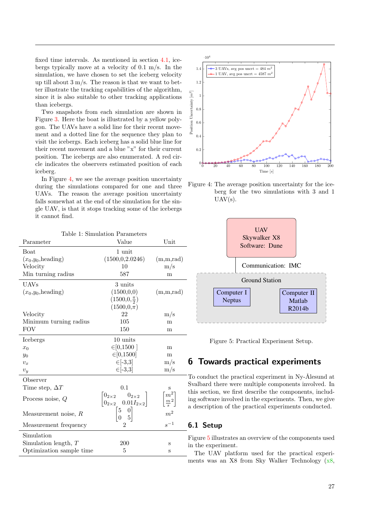fixed time intervals. As mentioned in section [4.1,](#page-3-5) icebergs typically move at a velocity of 0.1 m/s. In the simulation, we have chosen to set the iceberg velocity up till about  $3 \text{ m/s}$ . The reason is that we want to better illustrate the tracking capabilities of the algorithm, since it is also suitable to other tracking applications than icebergs.

Two snapshots from each simulation are shown in Figure [3.](#page-7-0) Here the boat is illustrated by a yellow polygon. The UAVs have a solid line for their recent movement and a dotted line for the sequence they plan to visit the icebergs. Each iceberg has a solid blue line for their recent movement and a blue "x" for their current position. The icebergs are also enumerated. A red circle indicates the observers estimated position of each iceberg.

In Figure [4,](#page-6-2) we see the average position uncertainty during the simulations compared for one and three UAVs. The reason the average position uncertainty falls somewhat at the end of the simulation for the single UAV, is that it stops tracking some of the icebergs it cannot find.

<span id="page-6-1"></span>

| Table 1: Simulation Parameters |                                                                                                     |                                          |  |  |  |
|--------------------------------|-----------------------------------------------------------------------------------------------------|------------------------------------------|--|--|--|
| Parameter                      | Value                                                                                               | Unit                                     |  |  |  |
| Boat                           | 1 unit                                                                                              |                                          |  |  |  |
| $(x_0,y_0,\text{heading})$     | (1500, 0.2.0246)                                                                                    | (m,m,rad)                                |  |  |  |
| Velocity                       | 10                                                                                                  | $\rm m/s$                                |  |  |  |
| Min turning radius             | 587                                                                                                 | m                                        |  |  |  |
| <b>UAVs</b>                    | 3 units                                                                                             |                                          |  |  |  |
| $(x_0,y_0,\text{heading})$     | (1500, 0, 0)                                                                                        | (m,m,rad)                                |  |  |  |
|                                | $(1500, 0, \frac{\pi}{2})$                                                                          |                                          |  |  |  |
|                                | $(1500,0,\pi)$                                                                                      |                                          |  |  |  |
| Velocity                       | 22                                                                                                  | $\rm m/s$                                |  |  |  |
| Minimum turning radius         | 105                                                                                                 | m                                        |  |  |  |
| <b>FOV</b>                     | 150                                                                                                 | m                                        |  |  |  |
| Icebergs                       | 10 units                                                                                            |                                          |  |  |  |
| $x_0$                          | $\in [0, 1500]$                                                                                     | m                                        |  |  |  |
| $y_0$                          | $\in [0, 1500]$                                                                                     | m                                        |  |  |  |
| $v_x$                          | $\in [-3,3]$                                                                                        | $\rm m/s$                                |  |  |  |
| $v_y$                          | $\in [-3,3]$                                                                                        | $\rm m/s$                                |  |  |  |
| Observer                       |                                                                                                     |                                          |  |  |  |
| Time step, $\Delta T$          | 0.1                                                                                                 | S                                        |  |  |  |
| Process noise, $Q$             | $\begin{bmatrix} 0_{2\times 2} & 0_{2\times 2} \\ 0_{2\times 2} & 0.01 I_{2\times 2} \end{bmatrix}$ | $\left[\frac{m^2}{\frac{m}{s}^2}\right]$ |  |  |  |
| Measurement noise, $R$         | $\begin{bmatrix} 5 & 0 \\ 0 & 5 \end{bmatrix}$                                                      | m <sup>2</sup>                           |  |  |  |
| Measurement frequency          | 2                                                                                                   | $s^{-1}$                                 |  |  |  |
| Simulation                     |                                                                                                     |                                          |  |  |  |
| Simulation length, $T$         | 200                                                                                                 | S                                        |  |  |  |
| Optimization sample time       | 5                                                                                                   | S                                        |  |  |  |
|                                |                                                                                                     |                                          |  |  |  |

<span id="page-6-2"></span>

Figure 4: The average position uncertainty for the iceberg for the two simulations with 3 and 1  $UAV(s)$ .

<span id="page-6-3"></span>

Figure 5: Practical Experiment Setup.

# <span id="page-6-0"></span>6 Towards practical experiments

To conduct the practical experiment in Ny-Ålesund at Svalbard there were multiple components involved. In this section, we first describe the components, including software involved in the experiments. Then, we give a description of the practical experiments conducted.

### 6.1 Setup

Figure [5](#page-6-3) illustrates an overview of the components used in the experiment.

The UAV platform used for the practical experiments was an X8 from Sky Walker Technology [\(x8,](#page-10-9)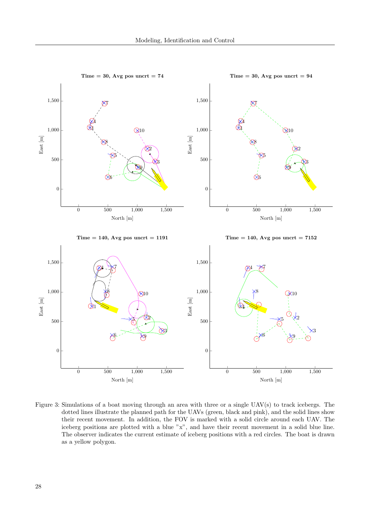<span id="page-7-0"></span>

Figure 3: Simulations of a boat moving through an area with three or a single UAV(s) to track icebergs. The dotted lines illustrate the planned path for the UAVs (green, black and pink), and the solid lines show their recent movement. In addition, the FOV is marked with a solid circle around each UAV. The iceberg positions are plotted with a blue "x", and have their recent movement in a solid blue line. The observer indicates the current estimate of iceberg positions with a red circles. The boat is drawn as a yellow polygon.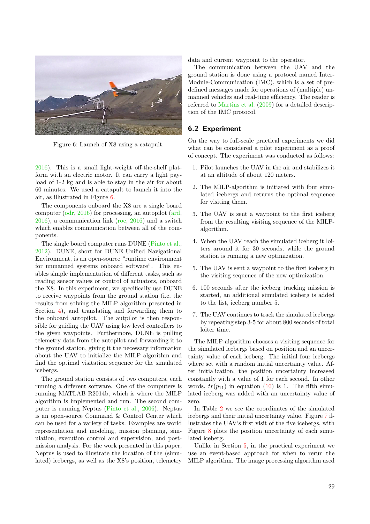<span id="page-8-0"></span>

Figure 6: Launch of X8 using a catapult.

[2016\)](#page-10-9). This is a small light-weight off-the-shelf platform with an electric motor. It can carry a light payload of 1-2 kg and is able to stay in the air for about 60 minutes. We used a catapult to launch it into the air, as illustrated in Figure [6.](#page-8-0)

The components onboard the X8 are a single board computer [\(odr,](#page-10-10) [2016\)](#page-10-10) for processing, an autopilot [\(ard,](#page-10-11) [2016\)](#page-10-11), a communication link [\(roc,](#page-10-12) [2016\)](#page-10-12) and a switch which enables communication between all of the components.

The single board computer runs DUNE [\(Pinto et al.,](#page-11-18) [2012\)](#page-11-18). DUNE, short for DUNE Unified Navigational Environment, is an open-source "runtime environment for unmanned systems onboard software". This enables simple implementation of different tasks, such as reading sensor values or control of actuators, onboard the X8. In this experiment, we specifically use DUNE to receive waypoints from the ground station (i.e, the results from solving the MILP algorithm presented in Section [4\)](#page-3-0), and translating and forwarding them to the onboard autopilot. The autpilot is then responsible for guiding the UAV using low level controllers to the given waypoints. Furthermore, DUNE is pulling telemetry data from the autopilot and forwarding it to the ground station, giving it the necessary information about the UAV to initialize the MILP algorithm and find the optimal visitation sequence for the simulated icebergs.

The ground station consists of two computers, each running a different software. One of the computers is running MATLAB R2014b, which is where the MILP algorithm is implemented and run. The second computer is running Neptus [\(Pinto et al.,](#page-11-19) [2006\)](#page-11-19). Neptus is an open-source Command & Control Center which can be used for a variety of tasks. Examples are world representation and modeling, mission planning, simulation, execution control and supervision, and postmission analysis. For the work presented in this paper, Neptus is used to illustrate the location of the (simulated) icebergs, as well as the X8's position, telemetry data and current waypoint to the operator.

The communication between the UAV and the ground station is done using a protocol named Inter-Module-Communication (IMC), which is a set of predefined messages made for operations of (multiple) unmanned vehicles and real-time efficiency. The reader is referred to [Martins et al.](#page-11-20) [\(2009\)](#page-11-20) for a detailed description of the IMC protocol.

#### 6.2 Experiment

On the way to full-scale practical experiments we did what can be considered a pilot experiment as a proof of concept. The experiment was conducted as follows:

- 1. Pilot launches the UAV in the air and stabilizes it at an altitude of about 120 meters.
- 2. The MILP-algorithm is initiated with four simulated icebergs and returns the optimal sequence for visiting them.
- 3. The UAV is sent a waypoint to the first iceberg from the resulting visiting sequence of the MILPalgorithm.
- 4. When the UAV reach the simulated iceberg it loiters around it for 30 seconds, while the ground station is running a new optimization.
- 5. The UAV is sent a waypoint to the first iceberg in the visiting sequence of the new optimization.
- 6. 100 seconds after the iceberg tracking mission is started, an additional simulated iceberg is added to the list, iceberg number 5.
- 7. The UAV continues to track the simulated icebergs by repeating step 3-5 for about 800 seconds of total loiter time.

The MILP-algorithm chooses a visiting sequence for the simulated icebergs based on position and an uncertainty value of each iceberg. The initial four icebergs where set with a random initial uncertainty value. After initialization, the position uncertainty increased constantly with a value of 1 for each second. In other words,  $tr(p_{11})$  in equation [\(10\)](#page-3-4) is 1. The fifth simulated iceberg was added with an uncertainty value of zero.

In Table [2](#page-9-1) we see the coordinates of the simulated icebergs and their initial uncertainty value. Figure [7](#page-9-2) illustrates the UAV's first visit of the five icebergs, with Figure [8](#page-9-3) plots the position uncertainty of each simulated iceberg.

Unlike in Section [5,](#page-5-0) in the practical experiment we use an event-based approach for when to rerun the MILP algorithm. The image processing algorithm used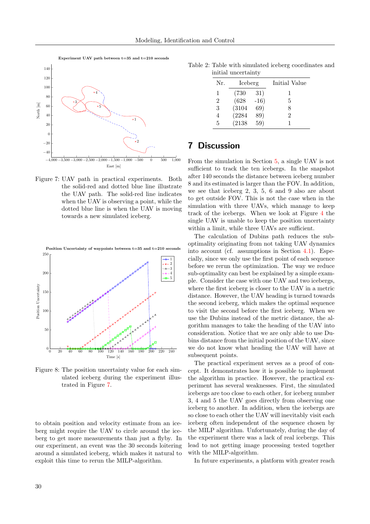Experiment UAV path between  $t=35$  and  $t=210$  seconds

<span id="page-9-2"></span>

Figure 7: UAV path in practical experiments. Both the solid-red and dotted blue line illustrate the UAV path. The solid-red line indicates when the UAV is observing a point, while the dotted blue line is when the UAV is moving towards a new simulated iceberg.

<span id="page-9-3"></span>Position Uncertainty of waypoints between  $t=35$  and  $t=210$  seconds



Figure 8: The position uncertainty value for each simulated iceberg during the experiment illustrated in Figure [7.](#page-9-2)

to obtain position and velocity estimate from an iceberg might require the UAV to circle around the iceberg to get more measurements than just a flyby. In our experiment, an event was the 30 seconds loitering around a simulated iceberg, which makes it natural to exploit this time to rerun the MILP-algorithm.

<span id="page-9-1"></span>Table 2: Table with simulated iceberg coordinates and initial uncertainty

| Nr.            | Iceberg |        | Initial Value |
|----------------|---------|--------|---------------|
| 1              | (730    | 31)    |               |
| $\overline{2}$ | (628)   | $-16)$ | 5             |
| 3              | (3104)  | 69)    | 8             |
| 4              | (2284)  | 89)    | 2             |
| 5              | (2138)  | 59)    |               |
|                |         |        |               |

### <span id="page-9-0"></span>7 Discussion

From the simulation in Section [5,](#page-5-0) a single UAV is not sufficient to track the ten icebergs. In the snapshot after 140 seconds the distance between iceberg number 8 and its estimated is larger than the FOV. In addition, we see that iceberg 2, 3, 5, 6 and 9 also are about to get outside FOV. This is not the case when in the simulation with three UAVs, which manage to keep track of the icebergs. When we look at Figure [4](#page-6-2) the single UAV is unable to keep the position uncertainty within a limit, while three UAVs are sufficient.

The calculation of Dubins path reduces the suboptimality originating from not taking UAV dynamics into account (cf. assumptions in Section [4.1\)](#page-3-5). Especially, since we only use the first point of each sequence before we rerun the optimization. The way we reduce sub-optimality can best be explained by a simple example. Consider the case with one UAV and two icebergs, where the first iceberg is closer to the UAV in a metric distance. However, the UAV heading is turned towards the second iceberg, which makes the optimal sequence to visit the second before the first iceberg. When we use the Dubins instead of the metric distance, the algorithm manages to take the heading of the UAV into consideration. Notice that we are only able to use Dubins distance from the initial position of the UAV, since we do not know what heading the UAV will have at subsequent points.

The practical experiment serves as a proof of concept. It demonstrates how it is possible to implement the algorithm in practice. However, the practical experiment has several weaknesses. First, the simulated icebergs are too close to each other, for iceberg number 3, 4 and 5 the UAV goes directly from observing one iceberg to another. In addition, when the icebergs are so close to each other the UAV will inevitably visit each iceberg often independent of the sequence chosen by the MILP algorithm. Unfortunately, during the day of the experiment there was a lack of real icebergs. This lead to not getting image processing tested together with the MILP-algorithm.

In future experiments, a platform with greater reach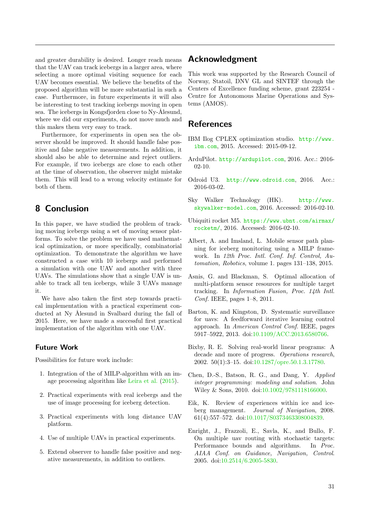and greater durability is desired. Longer reach means that the UAV can track icebergs in a larger area, where selecting a more optimal visiting sequence for each UAV becomes essential. We believe the benefits of the proposed algorithm will be more substantial in such a case. Furthermore, in future experiments it will also be interesting to test tracking icebergs moving in open sea. The icebergs in Kongsfjorden close to Ny-Ålesund, where we did our experiments, do not move much and this makes them very easy to track.

Furthermore, for experiments in open sea the observer should be improved. It should handle false positive and false negative measurements. In addition, it should also be able to determine and reject outliers. For example, if two icebergs are close to each other at the time of observation, the observer might mistake them. This will lead to a wrong velocity estimate for both of them.

# <span id="page-10-8"></span>8 Conclusion

In this paper, we have studied the problem of tracking moving icebergs using a set of moving sensor platforms. To solve the problem we have used mathematical optimization, or more specifically, combinatorial optimization. To demonstrate the algorithm we have constructed a case with 10 icebergs and performed a simulation with one UAV and another with three UAVs. The simulations show that a single UAV is unable to track all ten icebergs, while 3 UAVs manage it.

We have also taken the first step towards practical implementation with a practical experiment conducted at Ny Ålesund in Svalbard during the fall of 2015. Here, we have made a successful first practical implementation of the algorithm with one UAV.

#### Future Work

Possibilities for future work include:

- 1. Integration of the of MILP-algorithm with an image processing algorithm like [Leira et al.](#page-11-21) [\(2015\)](#page-11-21).
- 2. Practical experiments with real icebergs and the use of image processing for iceberg detection.
- 3. Practical experiments with long distance UAV platform.
- 4. Use of multiple UAVs in practical experiments.
- 5. Extend observer to handle false positive and negative measurements, in addition to outliers.

# Acknowledgment

This work was supported by the Research Council of Norway, Statoil, DNV GL and SINTEF through the Centers of Excellence funding scheme, grant 223254 - Centre for Autonomous Marine Operations and Systems (AMOS).

## References

- <span id="page-10-3"></span>IBM Ilog CPLEX optimization studio. [http://www.](http://www.ibm.com) [ibm.com](http://www.ibm.com), 2015. Accessed: 2015-09-12.
- <span id="page-10-11"></span>ArduPilot. <http://ardupilot.com>, 2016. Acc.: 2016- 02-10.
- <span id="page-10-10"></span>Odroid U3. <http://www.odroid.com>, 2016. Acc.: 2016-03-02.
- <span id="page-10-9"></span>Sky Walker Technology (HK). [http://www.](http://www.skywalker-model.com) [skywalker-model.com](http://www.skywalker-model.com), 2016. Accessed: 2016-02-10.
- <span id="page-10-12"></span>Ubiquiti rocket M5. [https://www.ubnt.com/airmax/](https://www.ubnt.com/airmax/rocketm/) [rocketm/](https://www.ubnt.com/airmax/rocketm/), 2016. Accessed: 2016-02-10.
- <span id="page-10-7"></span>Albert, A. and Imsland, L. Mobile sensor path planning for iceberg monitoring using a MILP framework. In 12th Proc. Intl. Conf. Inf. Control, Automation, Robotics, volume 1. pages 131–138, 2015.
- <span id="page-10-6"></span>Asnis, G. and Blackman, S. Optimal allocation of multi-platform sensor resources for multiple target tracking. In Information Fusion, Proc. 14th Intl. Conf. IEEE, pages 1–8, 2011.
- <span id="page-10-4"></span>Barton, K. and Kingston, D. Systematic surveillance for uavs: A feedforward iterative learning control approach. In American Control Conf. IEEE, pages 5917–5922, 2013. doi[:10.1109/ACC.2013.6580766.](http://dx.doi.org/10.1109/ACC.2013.6580766)
- <span id="page-10-1"></span>Bixby, R. E. Solving real-world linear programs: A decade and more of progress. *Operations research*, 2002. 50(1):3–15. doi[:10.1287/opre.50.1.3.17780.](http://dx.doi.org/10.1287/opre.50.1.3.17780)
- <span id="page-10-2"></span>Chen, D.-S., Batson, R. G., and Dang, Y. Applied integer programming: modeling and solution. John Wiley & Sons, 2010. doi[:10.1002/9781118166000.](http://dx.doi.org/10.1002/9781118166000)
- <span id="page-10-0"></span>Eik, K. Review of experiences within ice and iceberg management. Journal of Navigation, 2008. 61(4):557–572. doi[:10.1017/S0373463308004839.](http://dx.doi.org/10.1017/S0373463308004839)
- <span id="page-10-5"></span>Enright, J., Frazzoli, E., Savla, K., and Bullo, F. On multiple uav routing with stochastic targets: Performance bounds and algorithms. In Proc. AIAA Conf. on Guidance, Navigation, Control. 2005. doi[:10.2514/6.2005-5830.](http://dx.doi.org/10.2514/6.2005-5830)